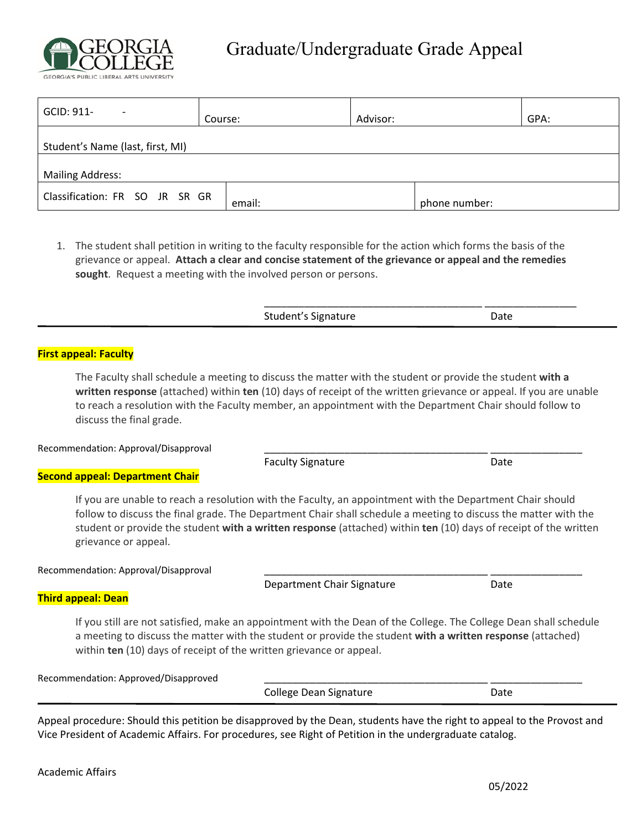

\_\_\_\_\_\_\_\_\_\_\_\_\_\_\_\_\_\_\_\_\_\_\_\_\_\_\_\_\_\_\_\_\_\_\_\_\_\_ \_\_\_\_\_\_\_\_\_\_\_\_\_\_\_\_

| GCID: 911-                       | Course: | Advisor:      | GPA: |
|----------------------------------|---------|---------------|------|
| Student's Name (last, first, MI) |         |               |      |
| <b>Mailing Address:</b>          |         |               |      |
| Classification: FR SO JR SR GR   | email:  | phone number: |      |

1. The student shall petition in writing to the faculty responsible for the action which forms the basis of the grievance or appeal. **Attach a clear and concise statement of the grievance or appeal and the remedies**  sought. Request a meeting with the involved person or persons.

Student's Signature Date

## **First appeal: Faculty**

The Faculty shall schedule a meeting to discuss the matter with the student or provide the student **with a written response** (attached) within **ten** (10) days of receipt of the written grievance or appeal. If you are unable to reach a resolution with the Faculty member, an appointment with the Department Chair should follow to discuss the final grade.

Recommendation: Approval/Disapproval

Faculty Signature Date

## **Second appeal: Department Chair**

If you are unable to reach a resolution with the Faculty, an appointment with the Department Chair should follow to discuss the final grade. The Department Chair shall schedule a meeting to discuss the matter with the student or provide the student **with a written response** (attached) within **ten** (10) days of receipt of the written grievance or appeal.

Recommendation: Approval/Disapproval

Department Chair Signature **Date** Date

## **Third appeal: Dean**

If you still are not satisfied, make an appointment with the Dean of the College. The College Dean shall schedule a meeting to discuss the matter with the student or provide the student **with a written response** (attached) within **ten** (10) days of receipt of the written grievance or appeal.

Recommendation: Approved/Disapproved

College Dean Signature **Date** Date

Appeal procedure: Should this petition be disapproved by the Dean, students have the right to appeal to the Provost and Vice President of Academic Affairs. For procedures, see Right of Petition in the undergraduate catalog.